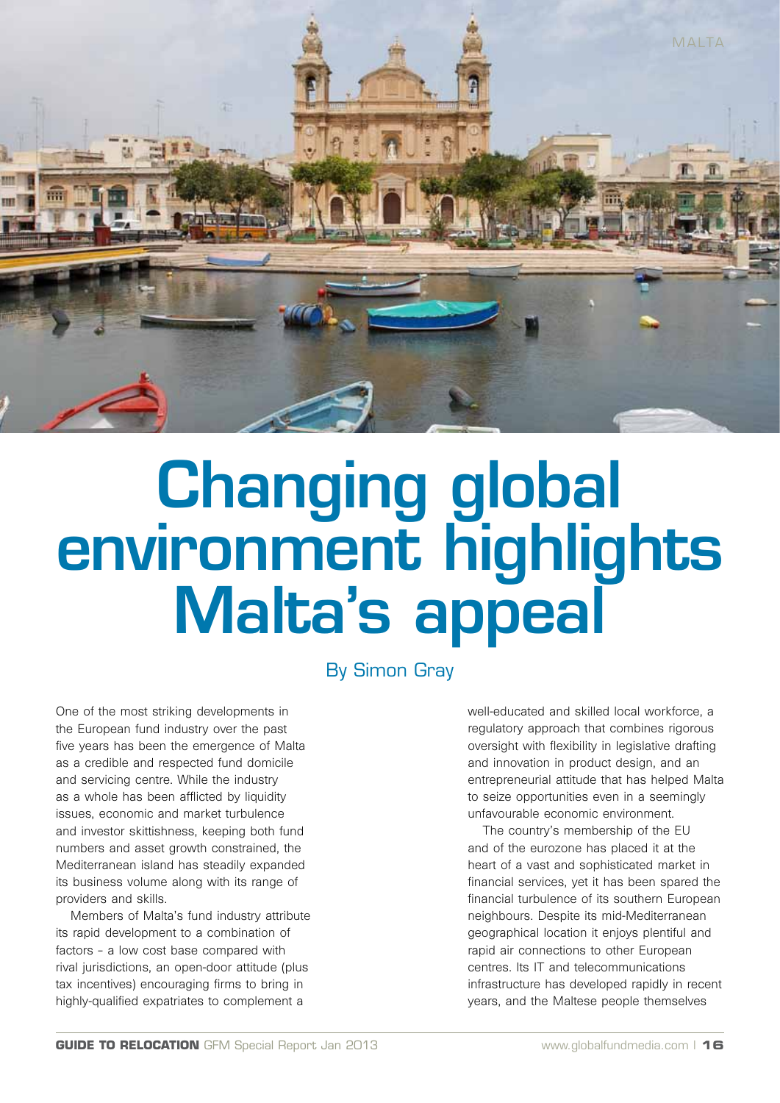

## Changing global environment highlights Malta's appeal

By Simon Gray

One of the most striking developments in the European fund industry over the past five years has been the emergence of Malta as a credible and respected fund domicile and servicing centre. While the industry as a whole has been afflicted by liquidity issues, economic and market turbulence and investor skittishness, keeping both fund numbers and asset growth constrained, the Mediterranean island has steadily expanded its business volume along with its range of providers and skills.

Members of Malta's fund industry attribute its rapid development to a combination of factors – a low cost base compared with rival jurisdictions, an open-door attitude (plus tax incentives) encouraging firms to bring in highly-qualified expatriates to complement a

well-educated and skilled local workforce, a regulatory approach that combines rigorous oversight with flexibility in legislative drafting and innovation in product design, and an entrepreneurial attitude that has helped Malta to seize opportunities even in a seemingly unfavourable economic environment.

The country's membership of the EU and of the eurozone has placed it at the heart of a vast and sophisticated market in financial services, yet it has been spared the financial turbulence of its southern European neighbours. Despite its mid-Mediterranean geographical location it enjoys plentiful and rapid air connections to other European centres. Its IT and telecommunications infrastructure has developed rapidly in recent years, and the Maltese people themselves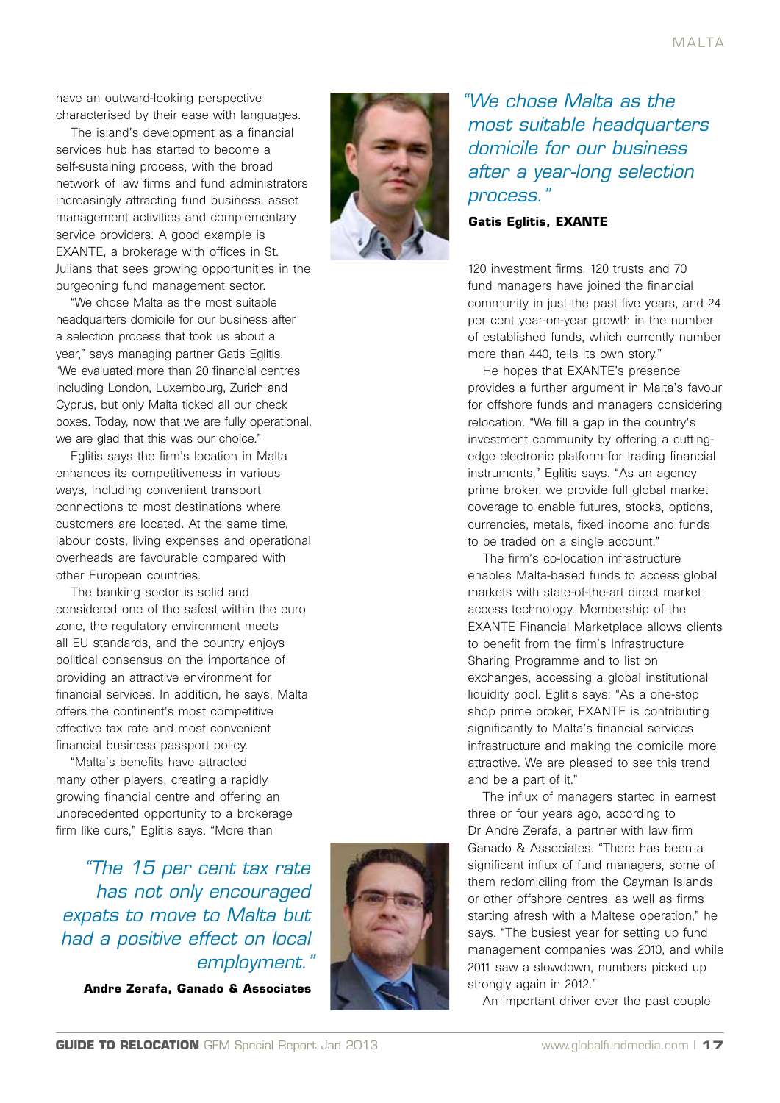have an outward-looking perspective characterised by their ease with languages.

The island's development as a financial services hub has started to become a self-sustaining process, with the broad network of law firms and fund administrators increasingly attracting fund business, asset management activities and complementary service providers. A good example is EXANTE, a brokerage with offices in St. Julians that sees growing opportunities in the burgeoning fund management sector.

"We chose Malta as the most suitable headquarters domicile for our business after a selection process that took us about a year," says managing partner Gatis Eglitis. "We evaluated more than 20 financial centres including London, Luxembourg, Zurich and Cyprus, but only Malta ticked all our check boxes. Today, now that we are fully operational, we are glad that this was our choice."

Eglitis says the firm's location in Malta enhances its competitiveness in various ways, including convenient transport connections to most destinations where customers are located. At the same time, labour costs, living expenses and operational overheads are favourable compared with other European countries.

The banking sector is solid and considered one of the safest within the euro zone, the regulatory environment meets all EU standards, and the country enjoys political consensus on the importance of providing an attractive environment for financial services. In addition, he says, Malta offers the continent's most competitive effective tax rate and most convenient financial business passport policy.

"Malta's benefits have attracted many other players, creating a rapidly growing financial centre and offering an unprecedented opportunity to a brokerage firm like ours," Eglitis says. "More than

*"The 15 per cent tax rate has not only encouraged expats to move to Malta but had a positive effect on local employment."*

**Andre Zerafa, Ganado & Associates**



*"We chose Malta as the most suitable headquarters domicile for our business after a year-long selection process."*

**Gatis Eglitis, EXANTE**

120 investment firms, 120 trusts and 70 fund managers have joined the financial community in just the past five years, and 24 per cent year-on-year growth in the number of established funds, which currently number more than 440, tells its own story."

He hopes that EXANTE's presence provides a further argument in Malta's favour for offshore funds and managers considering relocation. "We fill a gap in the country's investment community by offering a cuttingedge electronic platform for trading financial instruments," Eglitis says. "As an agency prime broker, we provide full global market coverage to enable futures, stocks, options, currencies, metals, fixed income and funds to be traded on a single account."

The firm's co-location infrastructure enables Malta-based funds to access global markets with state-of-the-art direct market access technology. Membership of the EXANTE Financial Marketplace allows clients to benefit from the firm's Infrastructure Sharing Programme and to list on exchanges, accessing a global institutional liquidity pool. Eglitis says: "As a one-stop shop prime broker, EXANTE is contributing significantly to Malta's financial services infrastructure and making the domicile more attractive. We are pleased to see this trend and be a part of it."

The influx of managers started in earnest three or four years ago, according to Dr Andre Zerafa, a partner with law firm Ganado & Associates. "There has been a significant influx of fund managers, some of them redomiciling from the Cayman Islands or other offshore centres, as well as firms starting afresh with a Maltese operation," he says. "The busiest year for setting up fund management companies was 2010, and while 2011 saw a slowdown, numbers picked up strongly again in 2012."

An important driver over the past couple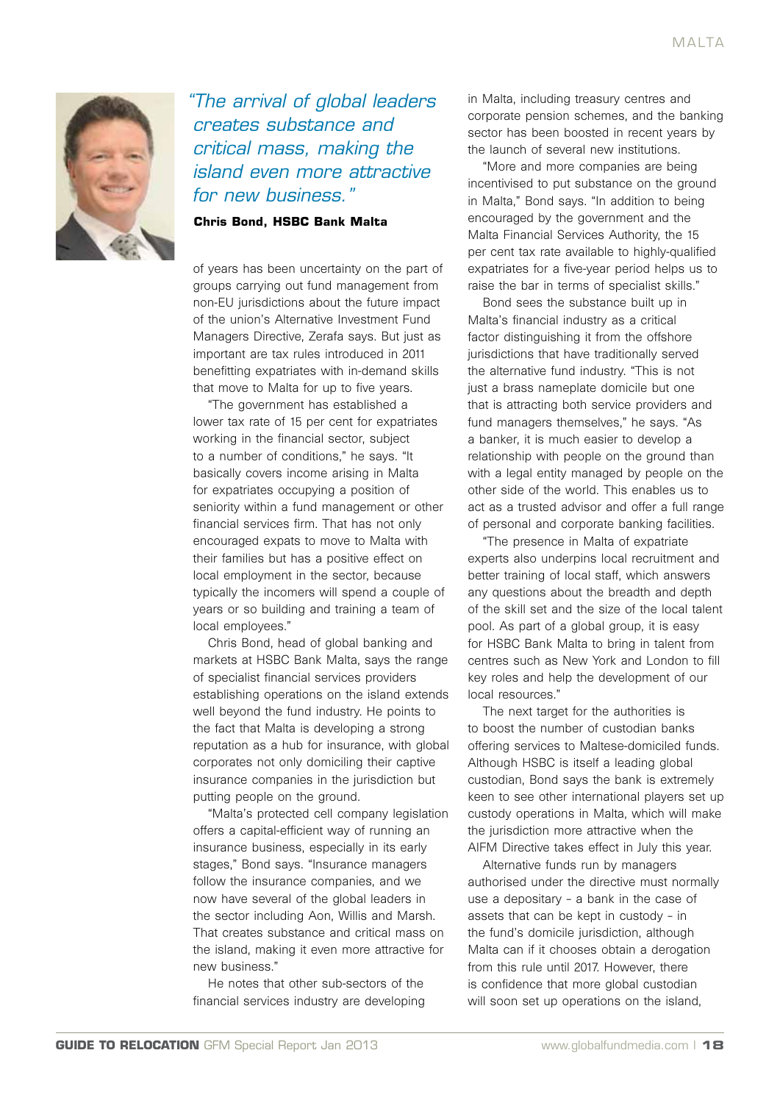

*"The arrival of global leaders creates substance and critical mass, making the island even more attractive for new business."*

**Chris Bond, HSBC Bank Malta**

of years has been uncertainty on the part of groups carrying out fund management from non-EU jurisdictions about the future impact of the union's Alternative Investment Fund Managers Directive, Zerafa says. But just as important are tax rules introduced in 2011 benefitting expatriates with in-demand skills that move to Malta for up to five years.

"The government has established a lower tax rate of 15 per cent for expatriates working in the financial sector, subject to a number of conditions," he says. "It basically covers income arising in Malta for expatriates occupying a position of seniority within a fund management or other financial services firm. That has not only encouraged expats to move to Malta with their families but has a positive effect on local employment in the sector, because typically the incomers will spend a couple of years or so building and training a team of local employees."

Chris Bond, head of global banking and markets at HSBC Bank Malta, says the range of specialist financial services providers establishing operations on the island extends well beyond the fund industry. He points to the fact that Malta is developing a strong reputation as a hub for insurance, with global corporates not only domiciling their captive insurance companies in the jurisdiction but putting people on the ground.

"Malta's protected cell company legislation offers a capital-efficient way of running an insurance business, especially in its early stages," Bond says. "Insurance managers follow the insurance companies, and we now have several of the global leaders in the sector including Aon, Willis and Marsh. That creates substance and critical mass on the island, making it even more attractive for new business."

He notes that other sub-sectors of the financial services industry are developing in Malta, including treasury centres and corporate pension schemes, and the banking sector has been boosted in recent years by the launch of several new institutions.

"More and more companies are being incentivised to put substance on the ground in Malta," Bond says. "In addition to being encouraged by the government and the Malta Financial Services Authority, the 15 per cent tax rate available to highly-qualified expatriates for a five-year period helps us to raise the bar in terms of specialist skills."

Bond sees the substance built up in Malta's financial industry as a critical factor distinguishing it from the offshore jurisdictions that have traditionally served the alternative fund industry. "This is not just a brass nameplate domicile but one that is attracting both service providers and fund managers themselves," he says. "As a banker, it is much easier to develop a relationship with people on the ground than with a legal entity managed by people on the other side of the world. This enables us to act as a trusted advisor and offer a full range of personal and corporate banking facilities.

"The presence in Malta of expatriate experts also underpins local recruitment and better training of local staff, which answers any questions about the breadth and depth of the skill set and the size of the local talent pool. As part of a global group, it is easy for HSBC Bank Malta to bring in talent from centres such as New York and London to fill key roles and help the development of our local resources."

The next target for the authorities is to boost the number of custodian banks offering services to Maltese-domiciled funds. Although HSBC is itself a leading global custodian, Bond says the bank is extremely keen to see other international players set up custody operations in Malta, which will make the jurisdiction more attractive when the AIFM Directive takes effect in July this year.

Alternative funds run by managers authorised under the directive must normally use a depositary – a bank in the case of assets that can be kept in custody – in the fund's domicile jurisdiction, although Malta can if it chooses obtain a derogation from this rule until 2017. However, there is confidence that more global custodian will soon set up operations on the island,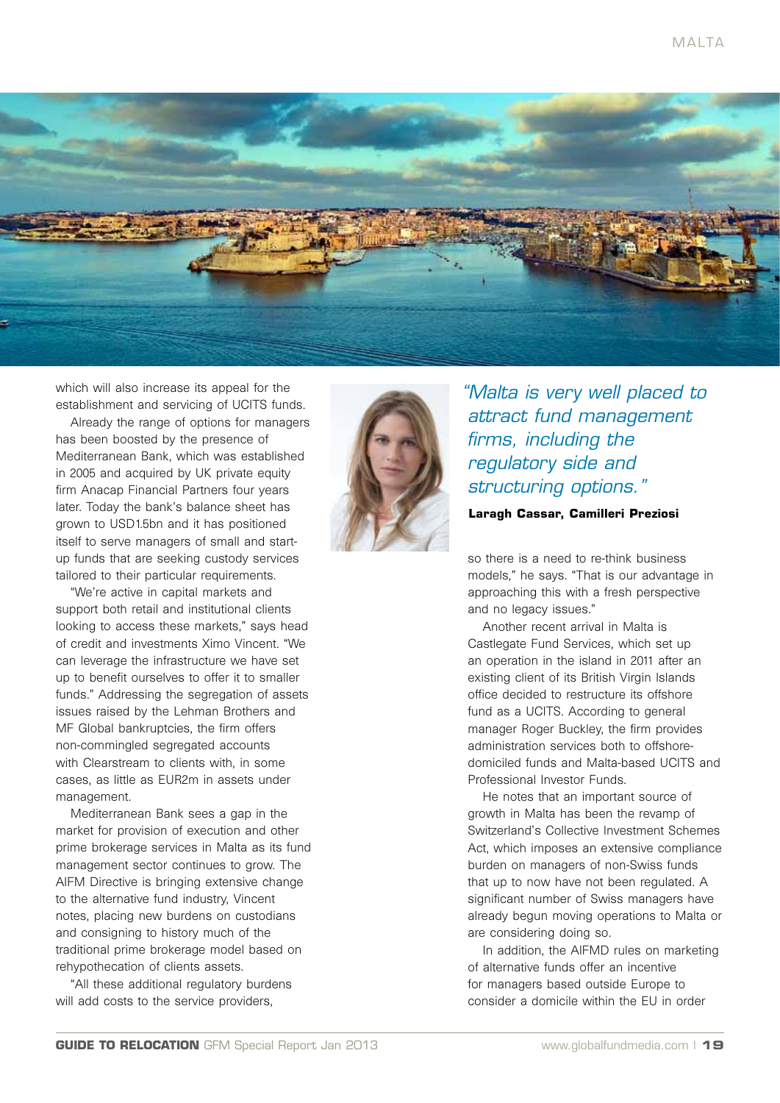

which will also increase its appeal for the establishment and servicing of UCITS funds.

Already the range of options for managers has been boosted by the presence of Mediterranean Bank, which was established in 2005 and acquired by UK private equity firm Anacap Financial Partners four years later. Today the bank's balance sheet has grown to USD1.5bn and it has positioned itself to serve managers of small and startup funds that are seeking custody services tailored to their particular requirements.

"We're active in capital markets and support both retail and institutional clients looking to access these markets," says head of credit and investments Ximo Vincent. "We can leverage the infrastructure we have set up to benefit ourselves to offer it to smaller funds." Addressing the segregation of assets issues raised by the Lehman Brothers and MF Global bankruptcies, the firm offers non-commingled segregated accounts with Clearstream to clients with, in some cases, as little as EUR2m in assets under management.

Mediterranean Bank sees a gap in the market for provision of execution and other prime brokerage services in Malta as its fund management sector continues to grow. The AIFM Directive is bringing extensive change to the alternative fund industry, Vincent notes, placing new burdens on custodians and consigning to history much of the traditional prime brokerage model based on rehypothecation of clients assets.

"All these additional regulatory burdens will add costs to the service providers,



*"Malta is very well placed to attract fund management firms, including the regulatory side and structuring options."*

**Laragh Cassar, Camilleri Preziosi**

so there is a need to re-think business models," he says. "That is our advantage in approaching this with a fresh perspective and no legacy issues."

Another recent arrival in Malta is Castlegate Fund Services, which set up an operation in the island in 2011 after an existing client of its British Virgin Islands office decided to restructure its offshore fund as a UCITS. According to general manager Roger Buckley, the firm provides administration services both to offshoredomiciled funds and Malta-based UCITS and Professional Investor Funds.

He notes that an important source of growth in Malta has been the revamp of Switzerland's Collective Investment Schemes Act, which imposes an extensive compliance burden on managers of non-Swiss funds that up to now have not been regulated. A significant number of Swiss managers have already begun moving operations to Malta or are considering doing so.

In addition, the AIFMD rules on marketing of alternative funds offer an incentive for managers based outside Europe to consider a domicile within the EU in order